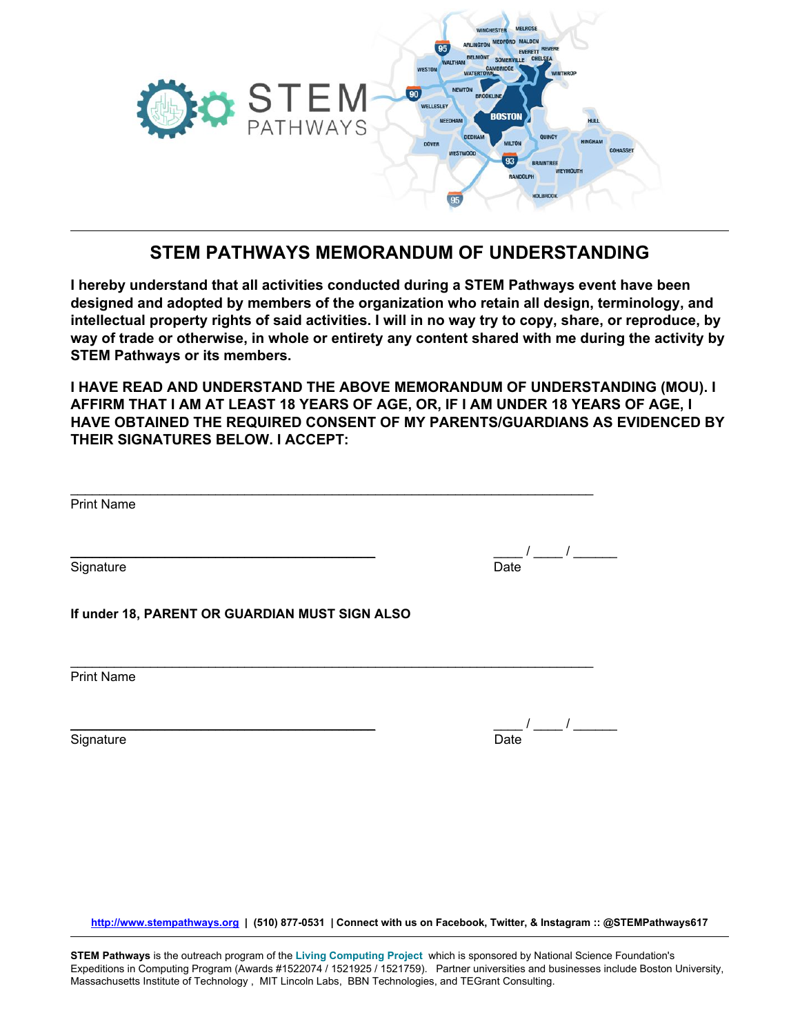

## **STEM PATHWAYS MEMORANDUM OF UNDERSTANDING**

**I hereby understand that all activities conducted during a STEM Pathways event have been designed and adopted by members of the organization who retain all design, terminology, and** intellectual property rights of said activities. I will in no way try to copy, share, or reproduce, by **way of trade or otherwise, in whole or entirety any content shared with me during the activity by STEM Pathways or its members.**

**I HAVE READ AND UNDERSTAND THE ABOVE MEMORANDUM OF UNDERSTANDING (MOU). I AFFIRM THAT I AM AT LEAST 18 YEARS OF AGE, OR, IF I AM UNDER 18 YEARS OF AGE, I HAVE OBTAINED THE REQUIRED CONSENT OF MY PARENTS/GUARDIANS AS EVIDENCED BY THEIR SIGNATURES BELOW. I ACCEPT:**

| <b>Print Name</b>                              |      |
|------------------------------------------------|------|
| Signature                                      | Date |
| If under 18, PARENT OR GUARDIAN MUST SIGN ALSO |      |
| <b>Print Name</b>                              |      |
| Signature                                      | Date |

**[http://www.stempathways.org](http://www.stempathways.org/) | (510) 877-0531 | Connect with us on Facebook, Twitter, & Instagram :: @STEMPathways617**

**STEM Pathways** is the outreach program of the **Living [Computing](https://www.programmingbiology.org/) Project** which is sponsored by National Science Foundation's Expeditions in Computing Program (Awards #1522074 / 1521925 / 1521759). Partner universities and businesses include Boston University, Massachusetts Institute of Technology , MIT Lincoln Labs, BBN Technologies, and TEGrant Consulting.